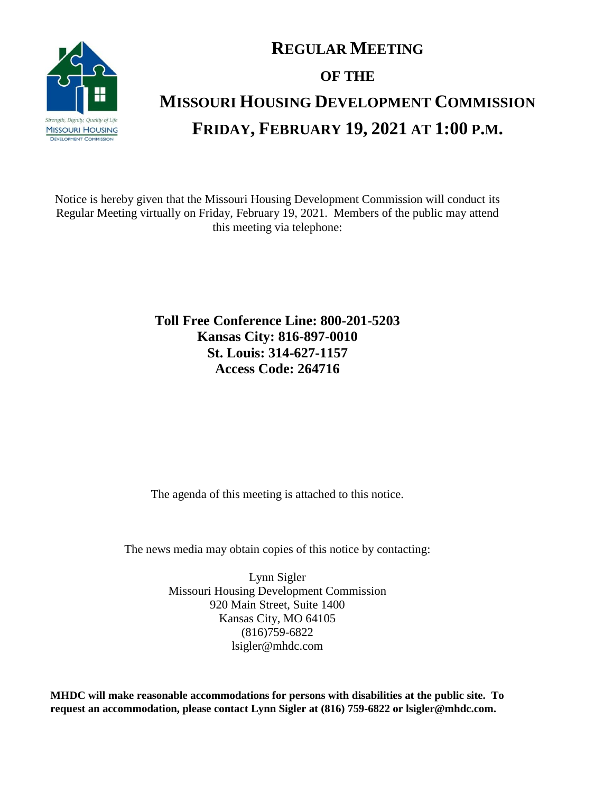

## **REGULAR MEETING OF THE MISSOURI HOUSING DEVELOPMENT COMMISSION FRIDAY, FEBRUARY 19, 2021 AT 1:00 P.M.**

Notice is hereby given that the Missouri Housing Development Commission will conduct its Regular Meeting virtually on Friday, February 19, 2021. Members of the public may attend this meeting via telephone:

> **Toll Free Conference Line: 800-201-5203 Kansas City: 816-897-0010 St. Louis: 314-627-1157 Access Code: 264716**

The agenda of this meeting is attached to this notice.

The news media may obtain copies of this notice by contacting:

Lynn Sigler Missouri Housing Development Commission 920 Main Street, Suite 1400 Kansas City, MO 64105 (816)759-6822 lsigler@mhdc.com

**MHDC will make reasonable accommodations for persons with disabilities at the public site. To request an accommodation, please contact Lynn Sigler at (816) 759-6822 or lsigler@mhdc.com.**